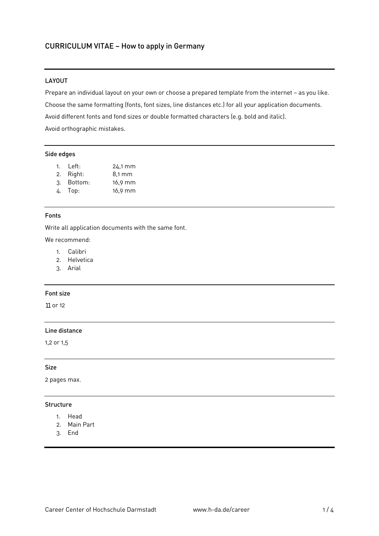### LAYOUT

Prepare an individual layout on your own or choose a prepared template from the internet – as you like. Choose the same formatting (fonts, font sizes, line distances etc.) for all your application documents. Avoid different fonts and fond sizes or double formatted characters (e.g. bold and italic). Avoid orthographic mistakes.

#### Side edges

- 1. Left: 24,1 mm
- 2. Right: 8,1 mm
- 3. Bottom: 16,9 mm
- 4. Top: 16,9 mm

#### Fonts

Write all application documents with the same font.

We recommend:

- 1. Calibri
- 2. Helvetica
- 3. Arial

### Font size

11 or 12

# Line distance

1,2 or 1,5

#### Size

2 pages max.

#### Structure

- 1. Head
- 2. Main Part
- 3. End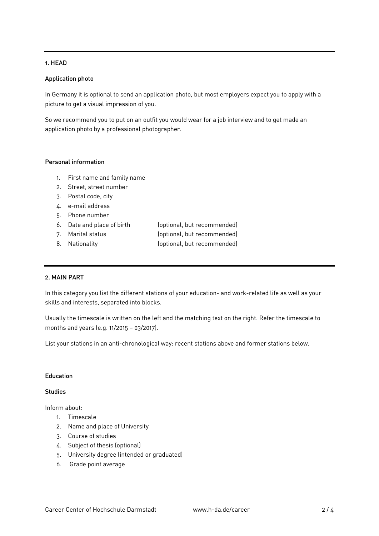## 1. HEAD

### Application photo

In Germany it is optional to send an application photo, but most employers expect you to apply with a picture to get a visual impression of you.

So we recommend you to put on an outfit you would wear for a job interview and to get made an application photo by a professional photographer.

### Personal information

- 1. First name and family name
- 2. Street, street number
- 3. Postal code, city
- 4. e-mail address
- 5. Phone number
- 6. Date and place of birth (optional, but recommended)
- 
- 8. Nationality (optional, but recommended)

7. Marital status (optional, but recommended)

### 2. MAIN PART

In this category you list the different stations of your education- and work-related life as well as your skills and interests, separated into blocks.

Usually the timescale is written on the left and the matching text on the right. Refer the timescale to months and years (e.g. 11/2015 – 03/2017).

List your stations in an anti-chronological way: recent stations above and former stations below.

## **Education**

### **Studies**

Inform about:

- 1. Timescale
- 2. Name and place of University
- 3. Course of studies
- 4. Subject of thesis (optional)
- 5. University degree (intended or graduated)
- 6. Grade point average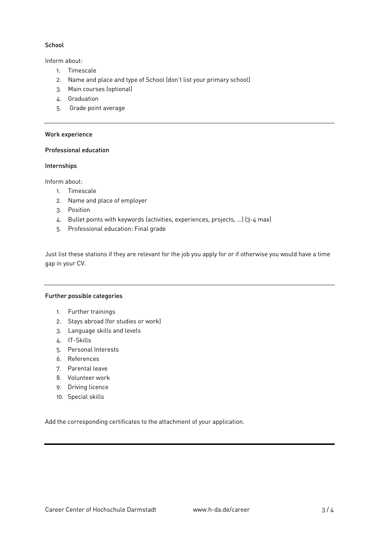## **School**

Inform about:

- 1. Timescale
- 2. Name and place and type of School (don't list your primary school)
- 3. Main courses (optional)
- 4. Graduation
- 5. Grade point average

### Work experience

### Professional education

#### **Internships**

Inform about:

- 1. Timescale
- 2. Name and place of employer
- 3. Position
- 4. Bullet points with keywords (activities, experiences, projects, …) (3-4 max)
- 5. Professional education: Final grade

Just list these stations if they are relevant for the job you apply for or if otherwise you would have a time gap in your CV.

#### Further possible categories

- 1. Further trainings
- 2. Stays abroad (for studies or work)
- 3. Language skills and levels
- 4. IT-Skills
- 5. Personal Interests
- 6. References
- 7. Parental leave
- 8. Volunteer work
- 9. Driving licence
- 10. Special skills

Add the corresponding certificates to the attachment of your application.